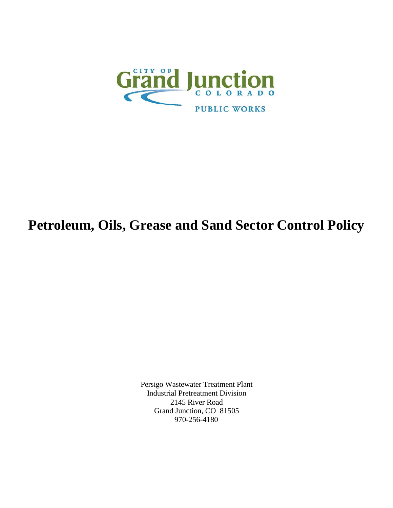

# **Petroleum, Oils, Grease and Sand Sector Control Policy**

Persigo Wastewater Treatment Plant Industrial Pretreatment Division 2145 River Road Grand Junction, CO 81505 970-256-4180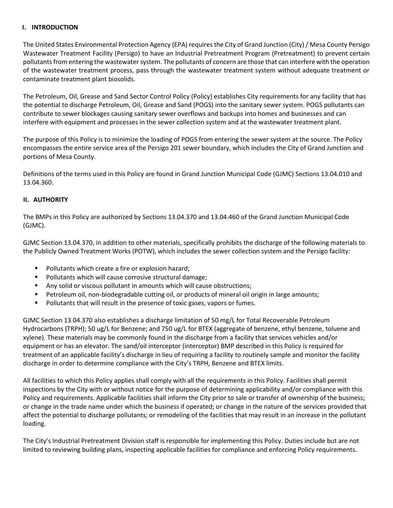#### **I. INTRODUCTION**

The United States Environmental Protection Agency (EPA) requires the City of Grand Junction (City)/ Mesa County Persigo Wastewater Treatment Facility (Persigo) to have an Industrial Pretreatment Program (Pretreatment) to prevent certain pollutants from entering the wastewater system. The pollutants of concern are those that can interfere with the operation of the wastewater treatment process, pass through the wastewater treatment system without adequate treatment or contaminate treatment plant biosolids.

The Petroleum, Oil, Grease and Sand Sector Control Policy (Policy) establishes City requirements for any facility that has the potential to discharge Petroleum, Oil, Grease and Sand (POGS) into the sanitary sewer system. POGS pollutants can contribute to sewer blockages causing sanitary sewer overflows and backups into homes and businesses and can interfere with equipment and processes in the sewer collection system and at the wastewater treatment plant.

The purpose of this Policy is to minimize the loading of POGS from entering the sewer system at the source. The Policy encompasses the entire service area of the Persigo 201 sewer boundary, which includes the City of Grand Junction and portions of Mesa County.

Definitions of the terms used in this Policy are found in Grand Junction Municipal Code (GJMC) Sections 13.04.010 and 13.04.360.

## **II. AUTHORITY**

The BMPs in this Policy are authorized by Sections 13.04.370 and 13.04.460 of the Grand Junction Municipal Code (GJMC).

GJMC Section 13.04.370, in addition to other materials, specifically prohibits the discharge of the following materials to the Publicly Owned Treatment Works (POTW), which includes the sewer collection system and the Persigo facility:

- **Pollutants which create a fire or explosion hazard;**
- **Pollutants which will cause corrosive structural damage;**
- Any solid or viscous pollutant in amounts which will cause obstructions;
- Petroleum oil, non-biodegradable cutting oil, or products of mineral oil origin in large amounts;
- **Pollutants that will result in the presence of toxic gases, vapors or fumes.**

GJMC Section 13.04.370 also establishes a discharge limitation of 50 mg/L for Total Recoverable Petroleum Hydrocarbons (TRPH); 50 ug/L for Benzene; and 750 ug/L for BTEX (aggregate of benzene, ethyl benzene, toluene and xylene). These materials may be commonly found in the discharge from a facility that services vehicles and/or equipment or has an elevator. The sand/oil interceptor (interceptor) BMP described in this Policy is required for treatment of an applicable facility's discharge in lieu of requiring a facility to routinely sample and monitor the facility discharge in order to determine compliance with the City's TRPH, Benzene and BTEX limits.

All facilities to which this Policy applies shall comply with all the requirements in this Policy. Facilities shall permit inspections by the City with or without notice for the purpose of determining applicability and/or compliance with this Policy and requirements. Applicable facilities shall inform the City prior to sale or transfer of ownership of the business; or change in the trade name under which the business if operated; or change in the nature of the services provided that affect the potential to discharge pollutants; or remodeling of the facilities that may result in an increase in the pollutant loading.

The City's Industrial Pretreatment Division staff is responsible for implementing this Policy. Duties include but are not limited to reviewing building plans, inspecting applicable facilities for compliance and enforcing Policy requirements.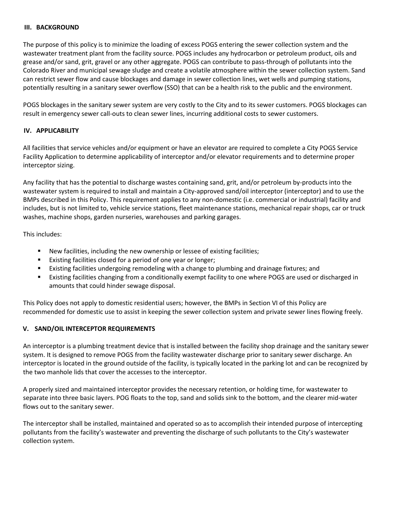#### **III. BACKGROUND**

The purpose of this policy is to minimize the loading of excess POGS entering the sewer collection system and the wastewater treatment plant from the facility source. POGS includes any hydrocarbon or petroleum product, oils and grease and/or sand, grit, gravel or any other aggregate. POGS can contribute to pass-through of pollutants into the Colorado River and municipal sewage sludge and create a volatile atmosphere within the sewer collection system. Sand can restrict sewer flow and cause blockages and damage in sewer collection lines, wet wells and pumping stations, potentially resulting in a sanitary sewer overflow (SSO) that can be a health risk to the public and the environment.

POGS blockages in the sanitary sewer system are very costly to the City and to its sewer customers. POGS blockages can result in emergency sewer call-outs to clean sewer lines, incurring additional costs to sewer customers.

## **IV. APPLICABILITY**

All facilities that service vehicles and/or equipment or have an elevator are required to complete a City POGS Service Facility Application to determine applicability of interceptor and/or elevator requirements and to determine proper interceptor sizing.

Any facility that has the potential to discharge wastes containing sand, grit, and/or petroleum by-products into the wastewater system is required to install and maintain a City-approved sand/oil interceptor (interceptor) and to use the BMPs described in this Policy. This requirement applies to any non-domestic (i.e. commercial or industrial) facility and includes, but is not limited to, vehicle service stations, fleet maintenance stations, mechanical repair shops, car or truck washes, machine shops, garden nurseries, warehouses and parking garages.

This includes:

- New facilities, including the new ownership or lessee of existing facilities;
- **EXIST EXIST FACILLY** EXTRIBUTE: **EXIST FACILLY** EXTERIBLE FOR LOTE FIGURE.
- Existing facilities undergoing remodeling with a change to plumbing and drainage fixtures; and
- Existing facilities changing from a conditionally exempt facility to one where POGS are used or discharged in amounts that could hinder sewage disposal.

This Policy does not apply to domestic residential users; however, the BMPs in Section VI of this Policy are recommended for domestic use to assist in keeping the sewer collection system and private sewer lines flowing freely.

## **V. SAND/OIL INTERCEPTOR REQUIREMENTS**

An interceptor is a plumbing treatment device that is installed between the facility shop drainage and the sanitary sewer system. It is designed to remove POGS from the facility wastewater discharge prior to sanitary sewer discharge. An interceptor is located in the ground outside of the facility, is typically located in the parking lot and can be recognized by the two manhole lids that cover the accesses to the interceptor.

A properly sized and maintained interceptor provides the necessary retention, or holding time, for wastewater to separate into three basic layers. POG floats to the top, sand and solids sink to the bottom, and the clearer mid-water flows out to the sanitary sewer.

The interceptor shall be installed, maintained and operated so as to accomplish their intended purpose of intercepting pollutants from the facility's wastewater and preventing the discharge of such pollutants to the City's wastewater collection system.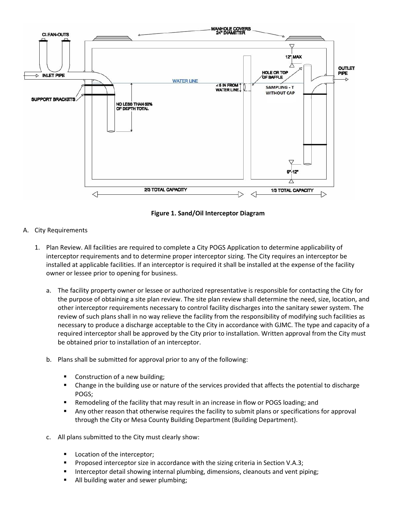

**Figure 1. Sand/Oil Interceptor Diagram**

- A. City Requirements
	- 1. Plan Review. All facilities are required to complete a City POGS Application to determine applicability of interceptor requirements and to determine proper interceptor sizing. The City requires an interceptor be installed at applicable facilities. If an interceptor is required it shall be installed at the expense of the facility owner or lessee prior to opening for business.
		- a. The facility property owner or lessee or authorized representative is responsible for contacting the City for the purpose of obtaining a site plan review. The site plan review shall determine the need, size, location, and other interceptor requirements necessary to control facility discharges into the sanitary sewer system. The review of such plans shall in no way relieve the facility from the responsibility of modifying such facilities as necessary to produce a discharge acceptable to the City in accordance with GJMC. The type and capacity of a required interceptor shall be approved by the City prior to installation. Written approval from the City must be obtained prior to installation of an interceptor.
		- b. Plans shall be submitted for approval prior to any of the following:
			- Construction of a new building;
			- Change in the building use or nature of the services provided that affects the potential to discharge POGS;
			- Remodeling of the facility that may result in an increase in flow or POGS loading; and
			- Any other reason that otherwise requires the facility to submit plans or specifications for approval through the City or Mesa County Building Department (Building Department).
		- c. All plans submitted to the City must clearly show:
			- Location of the interceptor;
			- Proposed interceptor size in accordance with the sizing criteria in Section V.A.3;
			- Interceptor detail showing internal plumbing, dimensions, cleanouts and vent piping;
			- All building water and sewer plumbing;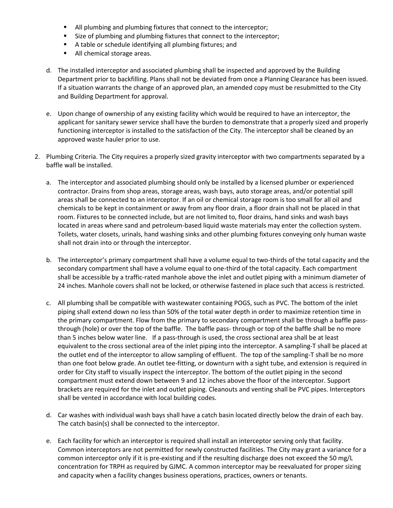- All plumbing and plumbing fixtures that connect to the interceptor;
- Size of plumbing and plumbing fixtures that connect to the interceptor;
- A table or schedule identifying all plumbing fixtures; and
- All chemical storage areas.
- d. The installed interceptor and associated plumbing shall be inspected and approved by the Building Department prior to backfilling. Plans shall not be deviated from once a Planning Clearance has been issued. If a situation warrants the change of an approved plan, an amended copy must be resubmitted to the City and Building Department for approval.
- e. Upon change of ownership of any existing facility which would be required to have an interceptor, the applicant for sanitary sewer service shall have the burden to demonstrate that a properly sized and properly functioning interceptor is installed to the satisfaction of the City. The interceptor shall be cleaned by an approved waste hauler prior to use.
- 2. Plumbing Criteria. The City requires a properly sized gravity interceptor with two compartments separated by a baffle wall be installed.
	- a. The interceptor and associated plumbing should only be installed by a licensed plumber or experienced contractor. Drains from shop areas, storage areas, wash bays, auto storage areas, and/or potential spill areas shall be connected to an interceptor. If an oil or chemical storage room is too small for all oil and chemicals to be kept in containment or away from any floor drain, a floor drain shall not be placed in that room. Fixtures to be connected include, but are not limited to, floor drains, hand sinks and wash bays located in areas where sand and petroleum-based liquid waste materials may enter the collection system. Toilets, water closets, urinals, hand washing sinks and other plumbing fixtures conveying only human waste shall not drain into or through the interceptor.
	- b. The interceptor's primary compartment shall have a volume equal to two-thirds of the total capacity and the secondary compartment shall have a volume equal to one-third of the total capacity. Each compartment shall be accessible by a traffic-rated manhole above the inlet and outlet piping with a minimum diameter of 24 inches. Manhole covers shall not be locked, or otherwise fastened in place such that access is restricted.
	- c. All plumbing shall be compatible with wastewater containing POGS, such as PVC. The bottom of the inlet piping shall extend down no less than 50% of the total water depth in order to maximize retention time in the primary compartment. Flow from the primary to secondary compartment shall be through a baffle passthrough (hole) or over the top of the baffle. The baffle pass- through or top of the baffle shall be no more than 5 inches below water line. If a pass-through is used, the cross sectional area shall be at least equivalent to the cross sectional area of the inlet piping into the interceptor. A sampling-T shall be placed at the outlet end of the interceptor to allow sampling of effluent. The top of the sampling-T shall be no more than one foot below grade. An outlet tee-fitting, or downturn with a sight tube, and extension is required in order for City staff to visually inspect the interceptor. The bottom of the outlet piping in the second compartment must extend down between 9 and 12 inches above the floor of the interceptor. Support brackets are required for the inlet and outlet piping. Cleanouts and venting shall be PVC pipes. Interceptors shall be vented in accordance with local building codes.
	- d. Car washes with individual wash bays shall have a catch basin located directly below the drain of each bay. The catch basin(s) shall be connected to the interceptor.
	- e. Each facility for which an interceptor is required shall install an interceptor serving only that facility. Common interceptors are not permitted for newly constructed facilities. The City may grant a variance for a common interceptor only if it is pre-existing and if the resulting discharge does not exceed the 50 mg/L concentration for TRPH as required by GJMC. A common interceptor may be reevaluated for proper sizing and capacity when a facility changes business operations, practices, owners or tenants.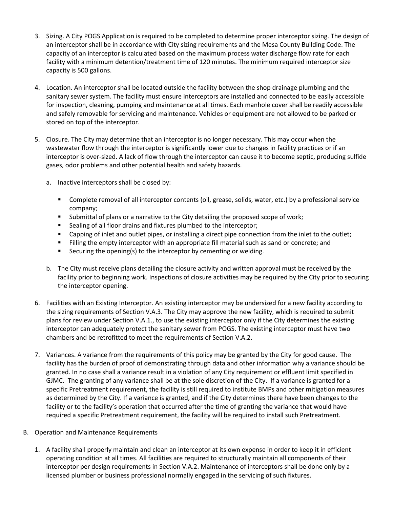- 3. Sizing. A City POGS Application is required to be completed to determine proper interceptor sizing. The design of an interceptor shall be in accordance with City sizing requirements and the Mesa County Building Code. The capacity of an interceptor is calculated based on the maximum process water discharge flow rate for each facility with a minimum detention/treatment time of 120 minutes. The minimum required interceptor size capacity is 500 gallons.
- 4. Location. An interceptor shall be located outside the facility between the shop drainage plumbing and the sanitary sewer system. The facility must ensure interceptors are installed and connected to be easily accessible for inspection, cleaning, pumping and maintenance at all times. Each manhole cover shall be readily accessible and safely removable for servicing and maintenance. Vehicles or equipment are not allowed to be parked or stored on top of the interceptor.
- 5. Closure. The City may determine that an interceptor is no longer necessary. This may occur when the wastewater flow through the interceptor is significantly lower due to changes in facility practices or if an interceptor is over-sized. A lack of flow through the interceptor can cause it to become septic, producing sulfide gases, odor problems and other potential health and safety hazards.
	- a. Inactive interceptors shall be closed by:
		- Complete removal of all interceptor contents (oil, grease, solids, water, etc.) by a professional service company;
		- **Submittal of plans or a narrative to the City detailing the proposed scope of work;**
		- **Sealing of all floor drains and fixtures plumbed to the interceptor;**
		- Capping of inlet and outlet pipes, or installing a direct pipe connection from the inlet to the outlet;
		- Filling the empty interceptor with an appropriate fill material such as sand or concrete; and
		- **EXECUTE:** Securing the opening(s) to the interceptor by cementing or welding.
	- b. The City must receive plans detailing the closure activity and written approval must be received by the facility prior to beginning work. Inspections of closure activities may be required by the City prior to securing the interceptor opening.
- 6. Facilities with an Existing Interceptor. An existing interceptor may be undersized for a new facility according to the sizing requirements of Section V.A.3. The City may approve the new facility, which is required to submit plans for review under Section V.A.1., to use the existing interceptor only if the City determines the existing interceptor can adequately protect the sanitary sewer from POGS. The existing interceptor must have two chambers and be retrofitted to meet the requirements of Section V.A.2.
- 7. Variances. A variance from the requirements of this policy may be granted by the City for good cause. The facility has the burden of proof of demonstrating through data and other information why a variance should be granted. In no case shall a variance result in a violation of any City requirement or effluent limit specified in GJMC. The granting of any variance shall be at the sole discretion of the City. If a variance is granted for a specific Pretreatment requirement, the facility is still required to institute BMPs and other mitigation measures as determined by the City. If a variance is granted, and if the City determines there have been changes to the facility or to the facility's operation that occurred after the time of granting the variance that would have required a specific Pretreatment requirement, the facility will be required to install such Pretreatment.
- B. Operation and Maintenance Requirements
	- 1. A facility shall properly maintain and clean an interceptor at its own expense in order to keep it in efficient operating condition at all times. All facilities are required to structurally maintain all components of their interceptor per design requirements in Section V.A.2. Maintenance of interceptors shall be done only by a licensed plumber or business professional normally engaged in the servicing of such fixtures.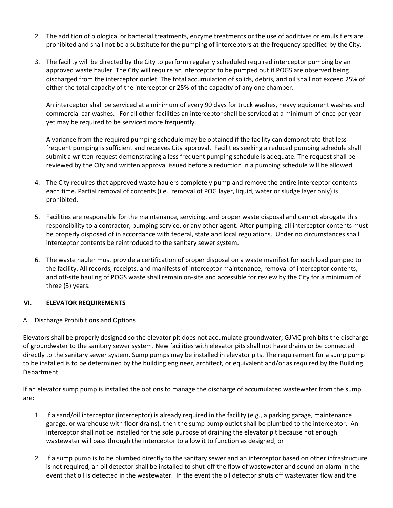- 2. The addition of biological or bacterial treatments, enzyme treatments or the use of additives or emulsifiers are prohibited and shall not be a substitute for the pumping of interceptors at the frequency specified by the City.
- 3. The facility will be directed by the City to perform regularly scheduled required interceptor pumping by an approved waste hauler. The City will require an interceptor to be pumped out if POGS are observed being discharged from the interceptor outlet. The total accumulation of solids, debris, and oil shall not exceed 25% of either the total capacity of the interceptor or 25% of the capacity of any one chamber.

An interceptor shall be serviced at a minimum of every 90 days for truck washes, heavy equipment washes and commercial car washes. For all other facilities an interceptor shall be serviced at a minimum of once per year yet may be required to be serviced more frequently.

A variance from the required pumping schedule may be obtained if the facility can demonstrate that less frequent pumping is sufficient and receives City approval. Facilities seeking a reduced pumping schedule shall submit a written request demonstrating a less frequent pumping schedule is adequate. The request shall be reviewed by the City and written approval issued before a reduction in a pumping schedule will be allowed.

- 4. The City requires that approved waste haulers completely pump and remove the entire interceptor contents each time. Partial removal of contents (i.e., removal of POG layer, liquid, water or sludge layer only) is prohibited.
- 5. Facilities are responsible for the maintenance, servicing, and proper waste disposal and cannot abrogate this responsibility to a contractor, pumping service, or any other agent. After pumping, all interceptor contents must be properly disposed of in accordance with federal, state and local regulations. Under no circumstances shall interceptor contents be reintroduced to the sanitary sewer system.
- 6. The waste hauler must provide a certification of proper disposal on a waste manifest for each load pumped to the facility. All records, receipts, and manifests of interceptor maintenance, removal of interceptor contents, and off-site hauling of POGS waste shall remain on-site and accessible for review by the City for a minimum of three (3) years.

# **VI. ELEVATOR REQUIREMENTS**

A. Discharge Prohibitions and Options

Elevators shall be properly designed so the elevator pit does not accumulate groundwater; GJMC prohibits the discharge of groundwater to the sanitary sewer system. New facilities with elevator pits shall not have drains or be connected directly to the sanitary sewer system. Sump pumps may be installed in elevator pits. The requirement for a sump pump to be installed is to be determined by the building engineer, architect, or equivalent and/or as required by the Building Department.

If an elevator sump pump is installed the options to manage the discharge of accumulated wastewater from the sump are:

- 1. If a sand/oil interceptor (interceptor) is already required in the facility (e.g., a parking garage, maintenance garage, or warehouse with floor drains), then the sump pump outlet shall be plumbed to the interceptor. An interceptor shall not be installed for the sole purpose of draining the elevator pit because not enough wastewater will pass through the interceptor to allow it to function as designed; or
- 2. If a sump pump is to be plumbed directly to the sanitary sewer and an interceptor based on other infrastructure is not required, an oil detector shall be installed to shut-off the flow of wastewater and sound an alarm in the event that oil is detected in the wastewater. In the event the oil detector shuts off wastewater flow and the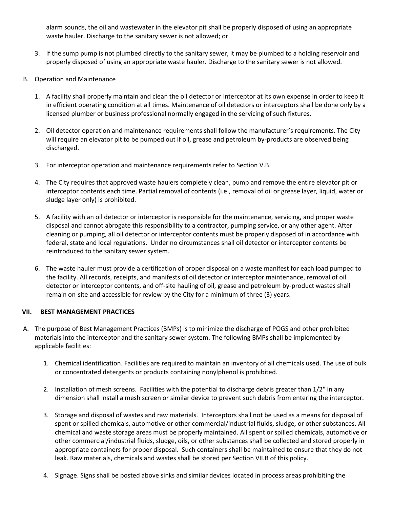alarm sounds, the oil and wastewater in the elevator pit shall be properly disposed of using an appropriate waste hauler. Discharge to the sanitary sewer is not allowed; or

- 3. If the sump pump is not plumbed directly to the sanitary sewer, it may be plumbed to a holding reservoir and properly disposed of using an appropriate waste hauler. Discharge to the sanitary sewer is not allowed.
- B. Operation and Maintenance
	- 1. A facility shall properly maintain and clean the oil detector or interceptor at its own expense in order to keep it in efficient operating condition at all times. Maintenance of oil detectors or interceptors shall be done only by a licensed plumber or business professional normally engaged in the servicing of such fixtures.
	- 2. Oil detector operation and maintenance requirements shall follow the manufacturer's requirements. The City will require an elevator pit to be pumped out if oil, grease and petroleum by-products are observed being discharged.
	- 3. For interceptor operation and maintenance requirements refer to Section V.B.
	- 4. The City requires that approved waste haulers completely clean, pump and remove the entire elevator pit or interceptor contents each time. Partial removal of contents (i.e., removal of oil or grease layer, liquid, water or sludge layer only) is prohibited.
	- 5. A facility with an oil detector or interceptor is responsible for the maintenance, servicing, and proper waste disposal and cannot abrogate this responsibility to a contractor, pumping service, or any other agent. After cleaning or pumping, all oil detector or interceptor contents must be properly disposed of in accordance with federal, state and local regulations. Under no circumstances shall oil detector or interceptor contents be reintroduced to the sanitary sewer system.
	- 6. The waste hauler must provide a certification of proper disposal on a waste manifest for each load pumped to the facility. All records, receipts, and manifests of oil detector or interceptor maintenance, removal of oil detector or interceptor contents, and off-site hauling of oil, grease and petroleum by-product wastes shall remain on-site and accessible for review by the City for a minimum of three (3) years.

# **VII. BEST MANAGEMENT PRACTICES**

- A. The purpose of Best Management Practices (BMPs) is to minimize the discharge of POGS and other prohibited materials into the interceptor and the sanitary sewer system. The following BMPs shall be implemented by applicable facilities:
	- 1. Chemical identification. Facilities are required to maintain an inventory of all chemicals used. The use of bulk or concentrated detergents or products containing nonylphenol is prohibited.
	- 2. Installation of mesh screens. Facilities with the potential to discharge debris greater than 1/2" in any dimension shall install a mesh screen or similar device to prevent such debris from entering the interceptor.
	- 3. Storage and disposal of wastes and raw materials. Interceptors shall not be used as a means for disposal of spent or spilled chemicals, automotive or other commercial/industrial fluids, sludge, or other substances. All chemical and waste storage areas must be properly maintained. All spent or spilled chemicals, automotive or other commercial/industrial fluids, sludge, oils, or other substances shall be collected and stored properly in appropriate containers for proper disposal. Such containers shall be maintained to ensure that they do not leak. Raw materials, chemicals and wastes shall be stored per Section VII.B of this policy.
	- 4. Signage. Signs shall be posted above sinks and similar devices located in process areas prohibiting the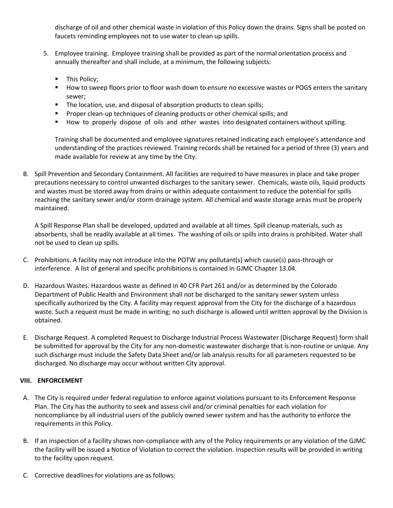discharge of oil and other chemical waste in violation of this Policy down the drains. Signs shall be posted on faucets reminding employees not to use water to clean up spills.

- 5. Employee training. Employee training shall be provided as part of the normal orientation process and annually thereafter and shall include, at a minimum, the following subjects:
	- **This Policy;**
	- **How to sweep floors prior to floor wash down to ensure no excessive wastes or POGS enters the sanitary** sewer;
	- The location, use, and disposal of absorption products to clean spills;
	- Proper clean-up techniques of cleaning products or other chemical spills; and
	- How to properly dispose of oils and other wastes into designated containers without spilling.

Training shall be documented and employee signatures retained indicating each employee's attendance and understanding of the practices reviewed. Training records shall be retained for a period of three (3) years and made available for review at any time by the City.

B. Spill Prevention and Secondary Containment. All facilities are required to have measures in place and take proper precautions necessary to control unwanted discharges to the sanitary sewer. Chemicals, waste oils, liquid products and wastes must be stored away from drains or within adequate containment to reduce the potential for spills reaching the sanitary sewer and/or storm drainage system. All chemical and waste storage areas must be properly maintained.

A Spill Response Plan shall be developed, updated and available at all times. Spill cleanup materials, such as absorbents, shall be readily available at all times. The washing of oils or spills into drains is prohibited. Water shall not be used to clean up spills.

- C. Prohibitions. A facility may not introduce into the POTW any pollutant(s) which cause(s) pass-through or interference. A list of general and specific prohibitions is contained in GJMC Chapter 13.04.
- D. Hazardous Wastes. Hazardous waste as defined in 40 CFR Part 261 and/or as determined by the Colorado Department of Public Health and Environment shall not be discharged to the sanitary sewer system unless specifically authorized by the City. A facility may request approval from the City for the discharge of a hazardous waste. Such a request must be made in writing; no such discharge is allowed until written approval by the Division is obtained.
- E. Discharge Request. A completed Request to Discharge Industrial Process Wastewater (Discharge Request) form shall be submitted for approval by the City for any non-domestic wastewater discharge that is non-routine or unique. Any such discharge must include the Safety Data Sheet and/or lab analysis results for all parameters requested to be discharged. No discharge may occur without written City approval.

# **VIII. ENFORCEMENT**

- A. The City is required under federal regulation to enforce against violations pursuant to its Enforcement Response Plan. The City has the authority to seek and assess civil and/or criminal penalties for each violation for noncompliance by all industrial users of the publicly owned sewer system and has the authority to enforce the requirements in this Policy.
- B. If an inspection of a facility shows non-compliance with any of the Policy requirements or any violation of the GJMC the facility will be issued a Notice of Violation to correct the violation. Inspection results will be provided in writing to the facility upon request.
- C. Corrective deadlines for violations are as follows: